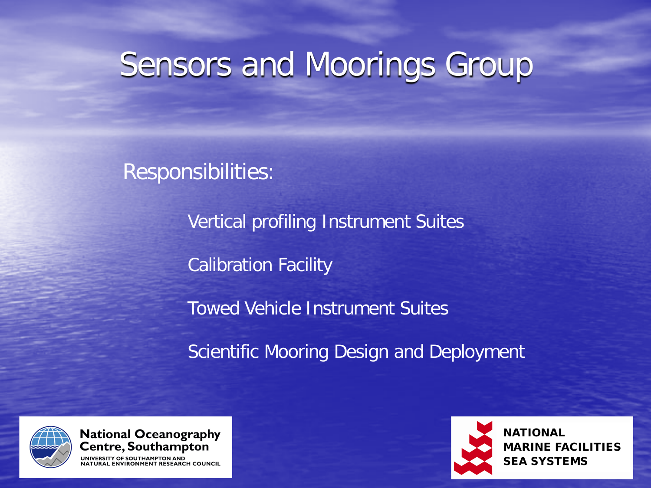### Sensors and Moorings Group

Responsibilities:

Vertical profiling Instrument Suites Calibration Facility Towed Vehicle Instrument Suites Scientific Mooring Design and Deployment



**National Oceanography** Centre, Southampton **ONMENT RESEARCH COUNCIL** 



NATIONAL MARINE FACILITIES SEA SYSTEMS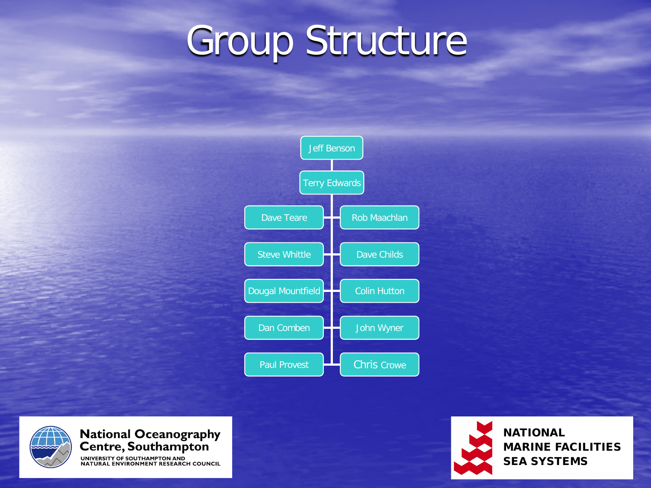## Group Structure







**NATIONAL** MARINE FACILITIES SEA SYSTEMS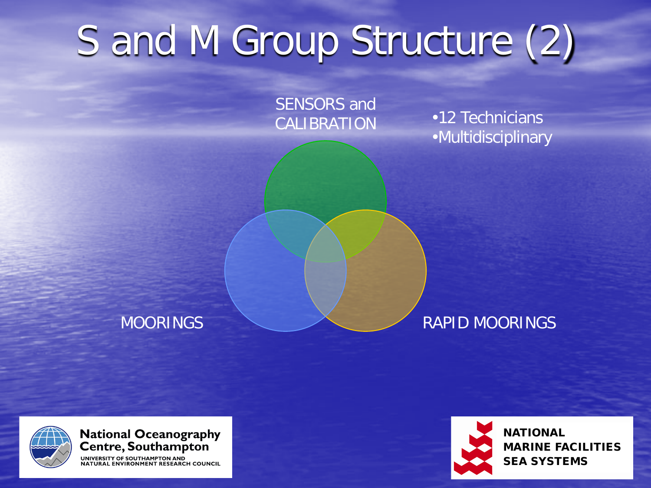# S and M Group Structure (2)

SENSORS and CALIBRATION

•12 Technicians •Multidisciplinary

### MOORINGS RAPID MOORINGS



National Oceanography<br>Centre, Southampton

UNIVERSITY OF SOUTHAMPTON AND **ENVIRONMENT RESEARCH COUNCIL** 



NATIONAL MARINE FACILITIES SEA SYSTEMS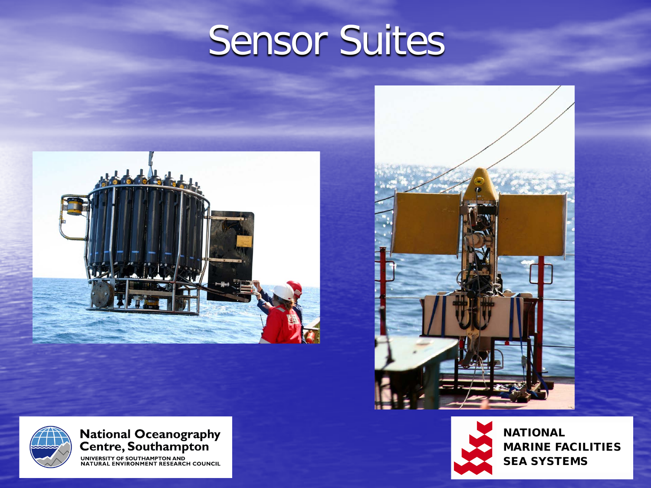### Sensor Suites







**NATIONAL** MARINE FACILITIES SEA SYSTEMS



National Oceanography<br>Centre, Southampton

UNIVERSITY OF SOUTHAMPTON AND<br>NATURAL ENVIRONMENT RESEARCH COUNCIL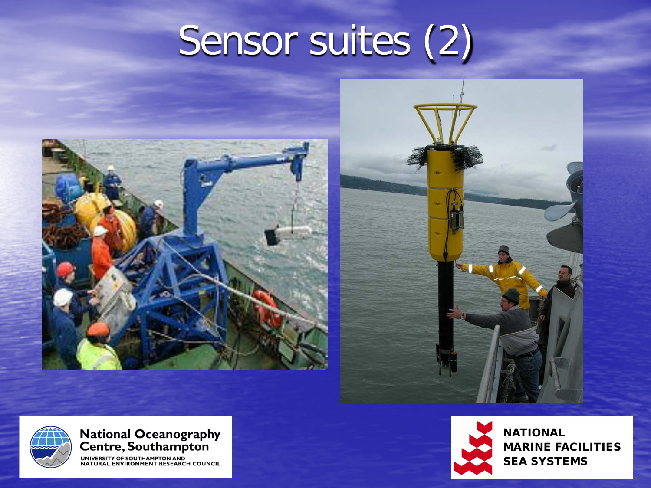# Sensor suites (2)







National Oceanography<br>Centre, Southampton

UNIVERSITY OF SOUTHAMPTON AND<br>NATURAL ENVIRONMENT RESEARCH COUNCIL



**NATIONAL** MARINE FACILITIES SEA SYSTEMS